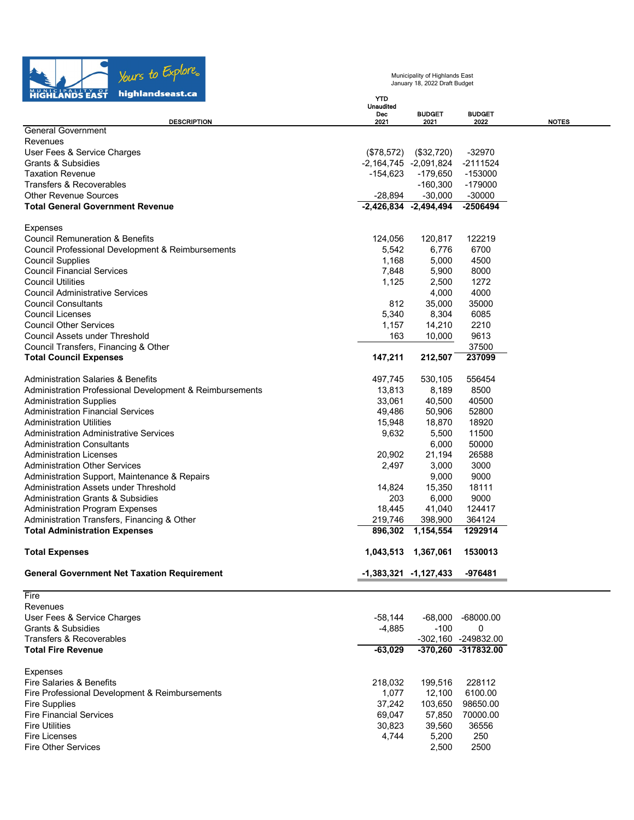

Municipality of Highlands East January 18, 2022 Draft Budget

Y<sub>T</sub>

| <b>General Government</b><br>Revenues<br>User Fees & Service Charges<br>(\$78,572)<br>(\$32,720)<br>-32970<br><b>Grants &amp; Subsidies</b><br>-2,164,745 -2,091,824<br>-2111524<br><b>Taxation Revenue</b><br>-154,623<br>$-179,650$<br>$-153000$<br><b>Transfers &amp; Recoverables</b><br>$-179000$<br>$-160,300$<br><b>Other Revenue Sources</b><br>$-30,000$<br>$-30000$<br>$-28,894$<br>$-2,426,834$ $-2,494,494$<br>-2506494<br><b>Total General Government Revenue</b><br><b>Expenses</b><br><b>Council Remuneration &amp; Benefits</b><br>124,056<br>120,817<br>122219<br>5,542<br>6,776<br>6700<br>Council Professional Development & Reimbursements<br><b>Council Supplies</b><br>1,168<br>5,000<br>4500<br><b>Council Financial Services</b><br>7,848<br>5,900<br>8000<br><b>Council Utilities</b><br>1,125<br>2,500<br>1272<br><b>Council Administrative Services</b><br>4,000<br>4000<br><b>Council Consultants</b><br>812<br>35,000<br>35000<br><b>Council Licenses</b><br>5,340<br>6085<br>8,304<br><b>Council Other Services</b><br>1,157<br>14,210<br>2210<br>9613<br>Council Assets under Threshold<br>163<br>10,000<br>Council Transfers, Financing & Other<br>37500<br>147,211<br>237099<br><b>Total Council Expenses</b><br>212,507<br><b>Administration Salaries &amp; Benefits</b><br>497,745<br>530,105<br>556454<br>Administration Professional Development & Reimbursements<br>13,813<br>8,189<br>8500<br>40500<br>33,061<br>40,500<br><b>Administration Supplies</b><br><b>Administration Financial Services</b><br>49,486<br>50,906<br>52800<br>15,948<br><b>Administration Utilities</b><br>18,870<br>18920<br><b>Administration Administrative Services</b><br>9,632<br>5,500<br>11500<br>50000<br>6,000<br><b>Administration Consultants</b><br>20,902<br>26588<br><b>Administration Licenses</b><br>21,194<br><b>Administration Other Services</b><br>2,497<br>3,000<br>3000<br>9,000<br>9000<br>Administration Support, Maintenance & Repairs<br>Administration Assets under Threshold<br>14,824<br>15,350<br>18111<br>203<br>9000<br><b>Administration Grants &amp; Subsidies</b><br>6,000<br>18,445<br>41,040<br><b>Administration Program Expenses</b><br>124417<br>219,746<br>Administration Transfers, Financing & Other<br>398,900<br>364124<br>896,302<br>1,154,554<br>1292914<br><b>Total Administration Expenses</b><br>1,043,513<br>1,367,061<br>1530013<br><b>Total Expenses</b><br>-976481<br><b>General Government Net Taxation Requirement</b><br>-1,383,321 -1,127,433 | <b>DESCRIPTION</b> | .<br><b>Unaudited</b><br>Dec<br>2021 | <b>BUDGET</b><br>2021 | <b>BUDGET</b><br>2022 | <b>NOTES</b> |
|-------------------------------------------------------------------------------------------------------------------------------------------------------------------------------------------------------------------------------------------------------------------------------------------------------------------------------------------------------------------------------------------------------------------------------------------------------------------------------------------------------------------------------------------------------------------------------------------------------------------------------------------------------------------------------------------------------------------------------------------------------------------------------------------------------------------------------------------------------------------------------------------------------------------------------------------------------------------------------------------------------------------------------------------------------------------------------------------------------------------------------------------------------------------------------------------------------------------------------------------------------------------------------------------------------------------------------------------------------------------------------------------------------------------------------------------------------------------------------------------------------------------------------------------------------------------------------------------------------------------------------------------------------------------------------------------------------------------------------------------------------------------------------------------------------------------------------------------------------------------------------------------------------------------------------------------------------------------------------------------------------------------------------------------------------------------------------------------------------------------------------------------------------------------------------------------------------------------------------------------------------------------------------------------------------------------------------------------------------------------------------------------------------------------------------------------------------------------------------------------------------------------------|--------------------|--------------------------------------|-----------------------|-----------------------|--------------|
|                                                                                                                                                                                                                                                                                                                                                                                                                                                                                                                                                                                                                                                                                                                                                                                                                                                                                                                                                                                                                                                                                                                                                                                                                                                                                                                                                                                                                                                                                                                                                                                                                                                                                                                                                                                                                                                                                                                                                                                                                                                                                                                                                                                                                                                                                                                                                                                                                                                                                                                         |                    |                                      |                       |                       |              |
|                                                                                                                                                                                                                                                                                                                                                                                                                                                                                                                                                                                                                                                                                                                                                                                                                                                                                                                                                                                                                                                                                                                                                                                                                                                                                                                                                                                                                                                                                                                                                                                                                                                                                                                                                                                                                                                                                                                                                                                                                                                                                                                                                                                                                                                                                                                                                                                                                                                                                                                         |                    |                                      |                       |                       |              |
|                                                                                                                                                                                                                                                                                                                                                                                                                                                                                                                                                                                                                                                                                                                                                                                                                                                                                                                                                                                                                                                                                                                                                                                                                                                                                                                                                                                                                                                                                                                                                                                                                                                                                                                                                                                                                                                                                                                                                                                                                                                                                                                                                                                                                                                                                                                                                                                                                                                                                                                         |                    |                                      |                       |                       |              |
|                                                                                                                                                                                                                                                                                                                                                                                                                                                                                                                                                                                                                                                                                                                                                                                                                                                                                                                                                                                                                                                                                                                                                                                                                                                                                                                                                                                                                                                                                                                                                                                                                                                                                                                                                                                                                                                                                                                                                                                                                                                                                                                                                                                                                                                                                                                                                                                                                                                                                                                         |                    |                                      |                       |                       |              |
|                                                                                                                                                                                                                                                                                                                                                                                                                                                                                                                                                                                                                                                                                                                                                                                                                                                                                                                                                                                                                                                                                                                                                                                                                                                                                                                                                                                                                                                                                                                                                                                                                                                                                                                                                                                                                                                                                                                                                                                                                                                                                                                                                                                                                                                                                                                                                                                                                                                                                                                         |                    |                                      |                       |                       |              |
|                                                                                                                                                                                                                                                                                                                                                                                                                                                                                                                                                                                                                                                                                                                                                                                                                                                                                                                                                                                                                                                                                                                                                                                                                                                                                                                                                                                                                                                                                                                                                                                                                                                                                                                                                                                                                                                                                                                                                                                                                                                                                                                                                                                                                                                                                                                                                                                                                                                                                                                         |                    |                                      |                       |                       |              |
|                                                                                                                                                                                                                                                                                                                                                                                                                                                                                                                                                                                                                                                                                                                                                                                                                                                                                                                                                                                                                                                                                                                                                                                                                                                                                                                                                                                                                                                                                                                                                                                                                                                                                                                                                                                                                                                                                                                                                                                                                                                                                                                                                                                                                                                                                                                                                                                                                                                                                                                         |                    |                                      |                       |                       |              |
|                                                                                                                                                                                                                                                                                                                                                                                                                                                                                                                                                                                                                                                                                                                                                                                                                                                                                                                                                                                                                                                                                                                                                                                                                                                                                                                                                                                                                                                                                                                                                                                                                                                                                                                                                                                                                                                                                                                                                                                                                                                                                                                                                                                                                                                                                                                                                                                                                                                                                                                         |                    |                                      |                       |                       |              |
|                                                                                                                                                                                                                                                                                                                                                                                                                                                                                                                                                                                                                                                                                                                                                                                                                                                                                                                                                                                                                                                                                                                                                                                                                                                                                                                                                                                                                                                                                                                                                                                                                                                                                                                                                                                                                                                                                                                                                                                                                                                                                                                                                                                                                                                                                                                                                                                                                                                                                                                         |                    |                                      |                       |                       |              |
|                                                                                                                                                                                                                                                                                                                                                                                                                                                                                                                                                                                                                                                                                                                                                                                                                                                                                                                                                                                                                                                                                                                                                                                                                                                                                                                                                                                                                                                                                                                                                                                                                                                                                                                                                                                                                                                                                                                                                                                                                                                                                                                                                                                                                                                                                                                                                                                                                                                                                                                         |                    |                                      |                       |                       |              |
|                                                                                                                                                                                                                                                                                                                                                                                                                                                                                                                                                                                                                                                                                                                                                                                                                                                                                                                                                                                                                                                                                                                                                                                                                                                                                                                                                                                                                                                                                                                                                                                                                                                                                                                                                                                                                                                                                                                                                                                                                                                                                                                                                                                                                                                                                                                                                                                                                                                                                                                         |                    |                                      |                       |                       |              |
|                                                                                                                                                                                                                                                                                                                                                                                                                                                                                                                                                                                                                                                                                                                                                                                                                                                                                                                                                                                                                                                                                                                                                                                                                                                                                                                                                                                                                                                                                                                                                                                                                                                                                                                                                                                                                                                                                                                                                                                                                                                                                                                                                                                                                                                                                                                                                                                                                                                                                                                         |                    |                                      |                       |                       |              |
|                                                                                                                                                                                                                                                                                                                                                                                                                                                                                                                                                                                                                                                                                                                                                                                                                                                                                                                                                                                                                                                                                                                                                                                                                                                                                                                                                                                                                                                                                                                                                                                                                                                                                                                                                                                                                                                                                                                                                                                                                                                                                                                                                                                                                                                                                                                                                                                                                                                                                                                         |                    |                                      |                       |                       |              |
|                                                                                                                                                                                                                                                                                                                                                                                                                                                                                                                                                                                                                                                                                                                                                                                                                                                                                                                                                                                                                                                                                                                                                                                                                                                                                                                                                                                                                                                                                                                                                                                                                                                                                                                                                                                                                                                                                                                                                                                                                                                                                                                                                                                                                                                                                                                                                                                                                                                                                                                         |                    |                                      |                       |                       |              |
|                                                                                                                                                                                                                                                                                                                                                                                                                                                                                                                                                                                                                                                                                                                                                                                                                                                                                                                                                                                                                                                                                                                                                                                                                                                                                                                                                                                                                                                                                                                                                                                                                                                                                                                                                                                                                                                                                                                                                                                                                                                                                                                                                                                                                                                                                                                                                                                                                                                                                                                         |                    |                                      |                       |                       |              |
|                                                                                                                                                                                                                                                                                                                                                                                                                                                                                                                                                                                                                                                                                                                                                                                                                                                                                                                                                                                                                                                                                                                                                                                                                                                                                                                                                                                                                                                                                                                                                                                                                                                                                                                                                                                                                                                                                                                                                                                                                                                                                                                                                                                                                                                                                                                                                                                                                                                                                                                         |                    |                                      |                       |                       |              |
|                                                                                                                                                                                                                                                                                                                                                                                                                                                                                                                                                                                                                                                                                                                                                                                                                                                                                                                                                                                                                                                                                                                                                                                                                                                                                                                                                                                                                                                                                                                                                                                                                                                                                                                                                                                                                                                                                                                                                                                                                                                                                                                                                                                                                                                                                                                                                                                                                                                                                                                         |                    |                                      |                       |                       |              |
|                                                                                                                                                                                                                                                                                                                                                                                                                                                                                                                                                                                                                                                                                                                                                                                                                                                                                                                                                                                                                                                                                                                                                                                                                                                                                                                                                                                                                                                                                                                                                                                                                                                                                                                                                                                                                                                                                                                                                                                                                                                                                                                                                                                                                                                                                                                                                                                                                                                                                                                         |                    |                                      |                       |                       |              |
|                                                                                                                                                                                                                                                                                                                                                                                                                                                                                                                                                                                                                                                                                                                                                                                                                                                                                                                                                                                                                                                                                                                                                                                                                                                                                                                                                                                                                                                                                                                                                                                                                                                                                                                                                                                                                                                                                                                                                                                                                                                                                                                                                                                                                                                                                                                                                                                                                                                                                                                         |                    |                                      |                       |                       |              |
|                                                                                                                                                                                                                                                                                                                                                                                                                                                                                                                                                                                                                                                                                                                                                                                                                                                                                                                                                                                                                                                                                                                                                                                                                                                                                                                                                                                                                                                                                                                                                                                                                                                                                                                                                                                                                                                                                                                                                                                                                                                                                                                                                                                                                                                                                                                                                                                                                                                                                                                         |                    |                                      |                       |                       |              |
|                                                                                                                                                                                                                                                                                                                                                                                                                                                                                                                                                                                                                                                                                                                                                                                                                                                                                                                                                                                                                                                                                                                                                                                                                                                                                                                                                                                                                                                                                                                                                                                                                                                                                                                                                                                                                                                                                                                                                                                                                                                                                                                                                                                                                                                                                                                                                                                                                                                                                                                         |                    |                                      |                       |                       |              |
|                                                                                                                                                                                                                                                                                                                                                                                                                                                                                                                                                                                                                                                                                                                                                                                                                                                                                                                                                                                                                                                                                                                                                                                                                                                                                                                                                                                                                                                                                                                                                                                                                                                                                                                                                                                                                                                                                                                                                                                                                                                                                                                                                                                                                                                                                                                                                                                                                                                                                                                         |                    |                                      |                       |                       |              |
|                                                                                                                                                                                                                                                                                                                                                                                                                                                                                                                                                                                                                                                                                                                                                                                                                                                                                                                                                                                                                                                                                                                                                                                                                                                                                                                                                                                                                                                                                                                                                                                                                                                                                                                                                                                                                                                                                                                                                                                                                                                                                                                                                                                                                                                                                                                                                                                                                                                                                                                         |                    |                                      |                       |                       |              |
|                                                                                                                                                                                                                                                                                                                                                                                                                                                                                                                                                                                                                                                                                                                                                                                                                                                                                                                                                                                                                                                                                                                                                                                                                                                                                                                                                                                                                                                                                                                                                                                                                                                                                                                                                                                                                                                                                                                                                                                                                                                                                                                                                                                                                                                                                                                                                                                                                                                                                                                         |                    |                                      |                       |                       |              |
|                                                                                                                                                                                                                                                                                                                                                                                                                                                                                                                                                                                                                                                                                                                                                                                                                                                                                                                                                                                                                                                                                                                                                                                                                                                                                                                                                                                                                                                                                                                                                                                                                                                                                                                                                                                                                                                                                                                                                                                                                                                                                                                                                                                                                                                                                                                                                                                                                                                                                                                         |                    |                                      |                       |                       |              |
|                                                                                                                                                                                                                                                                                                                                                                                                                                                                                                                                                                                                                                                                                                                                                                                                                                                                                                                                                                                                                                                                                                                                                                                                                                                                                                                                                                                                                                                                                                                                                                                                                                                                                                                                                                                                                                                                                                                                                                                                                                                                                                                                                                                                                                                                                                                                                                                                                                                                                                                         |                    |                                      |                       |                       |              |
|                                                                                                                                                                                                                                                                                                                                                                                                                                                                                                                                                                                                                                                                                                                                                                                                                                                                                                                                                                                                                                                                                                                                                                                                                                                                                                                                                                                                                                                                                                                                                                                                                                                                                                                                                                                                                                                                                                                                                                                                                                                                                                                                                                                                                                                                                                                                                                                                                                                                                                                         |                    |                                      |                       |                       |              |
|                                                                                                                                                                                                                                                                                                                                                                                                                                                                                                                                                                                                                                                                                                                                                                                                                                                                                                                                                                                                                                                                                                                                                                                                                                                                                                                                                                                                                                                                                                                                                                                                                                                                                                                                                                                                                                                                                                                                                                                                                                                                                                                                                                                                                                                                                                                                                                                                                                                                                                                         |                    |                                      |                       |                       |              |
|                                                                                                                                                                                                                                                                                                                                                                                                                                                                                                                                                                                                                                                                                                                                                                                                                                                                                                                                                                                                                                                                                                                                                                                                                                                                                                                                                                                                                                                                                                                                                                                                                                                                                                                                                                                                                                                                                                                                                                                                                                                                                                                                                                                                                                                                                                                                                                                                                                                                                                                         |                    |                                      |                       |                       |              |
|                                                                                                                                                                                                                                                                                                                                                                                                                                                                                                                                                                                                                                                                                                                                                                                                                                                                                                                                                                                                                                                                                                                                                                                                                                                                                                                                                                                                                                                                                                                                                                                                                                                                                                                                                                                                                                                                                                                                                                                                                                                                                                                                                                                                                                                                                                                                                                                                                                                                                                                         |                    |                                      |                       |                       |              |
|                                                                                                                                                                                                                                                                                                                                                                                                                                                                                                                                                                                                                                                                                                                                                                                                                                                                                                                                                                                                                                                                                                                                                                                                                                                                                                                                                                                                                                                                                                                                                                                                                                                                                                                                                                                                                                                                                                                                                                                                                                                                                                                                                                                                                                                                                                                                                                                                                                                                                                                         |                    |                                      |                       |                       |              |
|                                                                                                                                                                                                                                                                                                                                                                                                                                                                                                                                                                                                                                                                                                                                                                                                                                                                                                                                                                                                                                                                                                                                                                                                                                                                                                                                                                                                                                                                                                                                                                                                                                                                                                                                                                                                                                                                                                                                                                                                                                                                                                                                                                                                                                                                                                                                                                                                                                                                                                                         |                    |                                      |                       |                       |              |
|                                                                                                                                                                                                                                                                                                                                                                                                                                                                                                                                                                                                                                                                                                                                                                                                                                                                                                                                                                                                                                                                                                                                                                                                                                                                                                                                                                                                                                                                                                                                                                                                                                                                                                                                                                                                                                                                                                                                                                                                                                                                                                                                                                                                                                                                                                                                                                                                                                                                                                                         |                    |                                      |                       |                       |              |
|                                                                                                                                                                                                                                                                                                                                                                                                                                                                                                                                                                                                                                                                                                                                                                                                                                                                                                                                                                                                                                                                                                                                                                                                                                                                                                                                                                                                                                                                                                                                                                                                                                                                                                                                                                                                                                                                                                                                                                                                                                                                                                                                                                                                                                                                                                                                                                                                                                                                                                                         |                    |                                      |                       |                       |              |
|                                                                                                                                                                                                                                                                                                                                                                                                                                                                                                                                                                                                                                                                                                                                                                                                                                                                                                                                                                                                                                                                                                                                                                                                                                                                                                                                                                                                                                                                                                                                                                                                                                                                                                                                                                                                                                                                                                                                                                                                                                                                                                                                                                                                                                                                                                                                                                                                                                                                                                                         |                    |                                      |                       |                       |              |
|                                                                                                                                                                                                                                                                                                                                                                                                                                                                                                                                                                                                                                                                                                                                                                                                                                                                                                                                                                                                                                                                                                                                                                                                                                                                                                                                                                                                                                                                                                                                                                                                                                                                                                                                                                                                                                                                                                                                                                                                                                                                                                                                                                                                                                                                                                                                                                                                                                                                                                                         |                    |                                      |                       |                       |              |
|                                                                                                                                                                                                                                                                                                                                                                                                                                                                                                                                                                                                                                                                                                                                                                                                                                                                                                                                                                                                                                                                                                                                                                                                                                                                                                                                                                                                                                                                                                                                                                                                                                                                                                                                                                                                                                                                                                                                                                                                                                                                                                                                                                                                                                                                                                                                                                                                                                                                                                                         |                    |                                      |                       |                       |              |
|                                                                                                                                                                                                                                                                                                                                                                                                                                                                                                                                                                                                                                                                                                                                                                                                                                                                                                                                                                                                                                                                                                                                                                                                                                                                                                                                                                                                                                                                                                                                                                                                                                                                                                                                                                                                                                                                                                                                                                                                                                                                                                                                                                                                                                                                                                                                                                                                                                                                                                                         |                    |                                      |                       |                       |              |
|                                                                                                                                                                                                                                                                                                                                                                                                                                                                                                                                                                                                                                                                                                                                                                                                                                                                                                                                                                                                                                                                                                                                                                                                                                                                                                                                                                                                                                                                                                                                                                                                                                                                                                                                                                                                                                                                                                                                                                                                                                                                                                                                                                                                                                                                                                                                                                                                                                                                                                                         |                    |                                      |                       |                       |              |

Revenues User Fees & Service Charges -58,144 -68,000 -68000.00<br>Grants & Subsidies -58,144 -68,000 -68000.00 Grants & Subsidies<br>Transfers & Recoverables Transfers & Recoverables -302,160 -249832.00 **Total Fire Revenue -63,029 -370,260 -317832.00**

| Expenses                                       |         |         |          |
|------------------------------------------------|---------|---------|----------|
| Fire Salaries & Benefits                       | 218,032 | 199.516 | 228112   |
| Fire Professional Development & Reimbursements | 1.077   | 12.100  | 6100.00  |
| <b>Fire Supplies</b>                           | 37.242  | 103.650 | 98650.00 |
| <b>Fire Financial Services</b>                 | 69.047  | 57.850  | 70000.00 |
| <b>Fire Utilities</b>                          | 30.823  | 39.560  | 36556    |
| <b>Fire Licenses</b>                           | 4.744   | 5.200   | 250      |
| <b>Fire Other Services</b>                     |         | 2.500   | 2500     |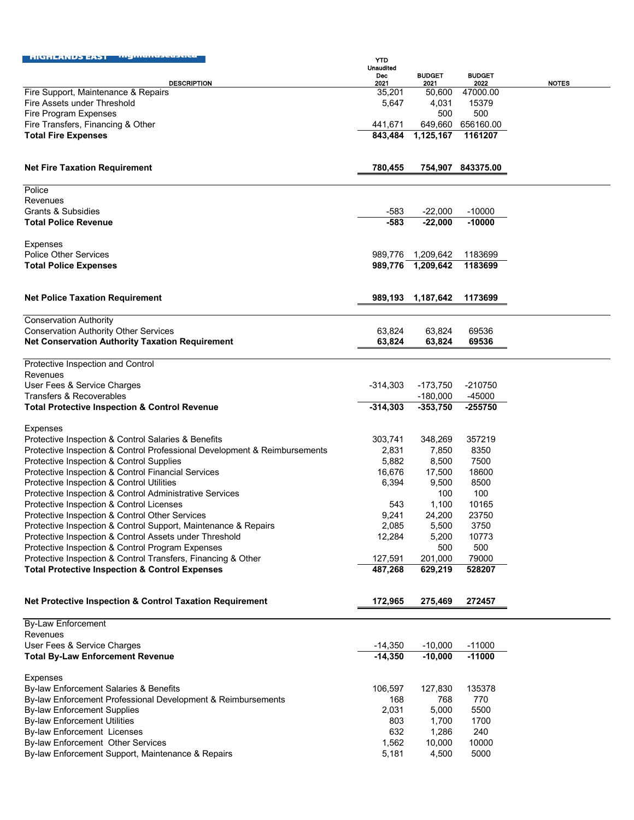| <b>HUHLANDS EAST</b><br>шку штептерескот                                  | <b>YTD</b>  |                       |                       |              |
|---------------------------------------------------------------------------|-------------|-----------------------|-----------------------|--------------|
|                                                                           | Unaudited   |                       |                       |              |
| <b>DESCRIPTION</b>                                                        | Dec<br>2021 | <b>BUDGET</b><br>2021 | <b>BUDGET</b><br>2022 | <b>NOTES</b> |
| Fire Support, Maintenance & Repairs                                       | 35,201      | 50,600                | 47000.00              |              |
| Fire Assets under Threshold                                               | 5,647       | 4,031                 | 15379                 |              |
| Fire Program Expenses                                                     |             | 500                   | 500                   |              |
| Fire Transfers, Financing & Other                                         | 441,671     | 649,660               | 656160.00             |              |
| <b>Total Fire Expenses</b>                                                | 843,484     | 1,125,167             | 1161207               |              |
|                                                                           |             |                       |                       |              |
| <b>Net Fire Taxation Requirement</b>                                      | 780,455     |                       | 754,907 843375.00     |              |
| Police                                                                    |             |                       |                       |              |
| Revenues                                                                  |             |                       |                       |              |
| Grants & Subsidies                                                        | $-583$      | $-22,000$             | $-10000$              |              |
| <b>Total Police Revenue</b>                                               | $-583$      | $-22,000$             | $-10000$              |              |
|                                                                           |             |                       |                       |              |
| <b>Expenses</b>                                                           |             |                       |                       |              |
| <b>Police Other Services</b>                                              | 989,776     | 1,209,642             | 1183699               |              |
| <b>Total Police Expenses</b>                                              |             | 989,776 1,209,642     | 1183699               |              |
|                                                                           |             |                       |                       |              |
| <b>Net Police Taxation Requirement</b>                                    | 989,193     | 1,187,642             | 1173699               |              |
| <b>Conservation Authority</b>                                             |             |                       |                       |              |
| <b>Conservation Authority Other Services</b>                              | 63,824      | 63,824                | 69536                 |              |
| <b>Net Conservation Authority Taxation Requirement</b>                    | 63,824      | 63,824                | 69536                 |              |
| Protective Inspection and Control                                         |             |                       |                       |              |
| Revenues                                                                  |             |                       |                       |              |
| User Fees & Service Charges                                               | -314,303    | $-173,750$            | $-210750$             |              |
| Transfers & Recoverables                                                  |             | $-180,000$            | -45000                |              |
| <b>Total Protective Inspection &amp; Control Revenue</b>                  | $-314,303$  | $-353,750$            | $-255750$             |              |
|                                                                           |             |                       |                       |              |
| <b>Expenses</b>                                                           |             |                       |                       |              |
| Protective Inspection & Control Salaries & Benefits                       | 303,741     | 348,269               | 357219                |              |
| Protective Inspection & Control Professional Development & Reimbursements | 2,831       | 7,850                 | 8350                  |              |
| Protective Inspection & Control Supplies                                  | 5,882       | 8,500                 | 7500                  |              |
| Protective Inspection & Control Financial Services                        | 16,676      | 17,500                | 18600                 |              |
| Protective Inspection & Control Utilities                                 | 6,394       | 9,500                 | 8500                  |              |
| Protective Inspection & Control Administrative Services                   |             | 100                   | 100                   |              |
| Protective Inspection & Control Licenses                                  | 543         | 1,100                 | 10165                 |              |
| Protective Inspection & Control Other Services                            | 9,241       | 24,200                | 23750                 |              |
| Protective Inspection & Control Support, Maintenance & Repairs            | 2,085       | 5,500                 | 3750                  |              |
| Protective Inspection & Control Assets under Threshold                    | 12,284      | 5,200                 | 10773                 |              |
| Protective Inspection & Control Program Expenses                          |             | 500                   | 500                   |              |
| Protective Inspection & Control Transfers, Financing & Other              | 127,591     | 201,000               | 79000                 |              |
| <b>Total Protective Inspection &amp; Control Expenses</b>                 | 487,268     | 629,219               | 528207                |              |
|                                                                           |             |                       |                       |              |
| Net Protective Inspection & Control Taxation Requirement                  | 172,965     | 275,469               | 272457                |              |
| <b>By-Law Enforcement</b>                                                 |             |                       |                       |              |
| Revenues                                                                  |             |                       |                       |              |
| User Fees & Service Charges                                               | $-14,350$   | $-10,000$             | $-11000$              |              |
| <b>Total By-Law Enforcement Revenue</b>                                   | $-14,350$   | $-10,000$             | $-11000$              |              |
|                                                                           |             |                       |                       |              |
| <b>Expenses</b>                                                           |             |                       |                       |              |
| By-law Enforcement Salaries & Benefits                                    | 106,597     | 127,830               | 135378                |              |
| By-law Enforcement Professional Development & Reimbursements              | 168         | 768                   | 770                   |              |
| <b>By-law Enforcement Supplies</b>                                        | 2,031       | 5,000                 | 5500                  |              |
| <b>By-law Enforcement Utilities</b>                                       | 803         | 1,700                 | 1700                  |              |
| <b>By-law Enforcement Licenses</b>                                        | 632         | 1,286                 | 240                   |              |
| By-law Enforcement Other Services                                         | 1,562       | 10,000                | 10000                 |              |
| By-law Enforcement Support, Maintenance & Repairs                         | 5,181       | 4,500                 | 5000                  |              |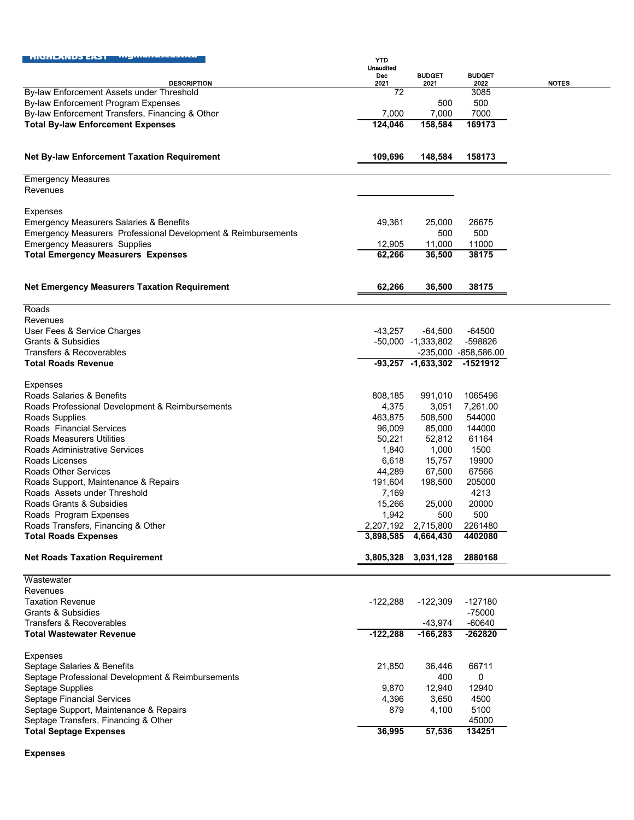| <b>TIOLITANIAS PAST</b>                                       | <b>YTD</b>       |                        |                       |              |
|---------------------------------------------------------------|------------------|------------------------|-----------------------|--------------|
|                                                               | <b>Unaudited</b> |                        |                       |              |
| <b>DESCRIPTION</b>                                            | Dec<br>2021      | <b>BUDGET</b><br>2021  | <b>BUDGET</b><br>2022 | <b>NOTES</b> |
| By-law Enforcement Assets under Threshold                     | 72               |                        | 3085                  |              |
| By-law Enforcement Program Expenses                           |                  | 500                    | 500                   |              |
| By-law Enforcement Transfers, Financing & Other               | 7,000            | 7,000                  | 7000                  |              |
| <b>Total By-law Enforcement Expenses</b>                      | 124,046          | 158,584                | 169173                |              |
|                                                               |                  |                        |                       |              |
| <b>Net By-law Enforcement Taxation Requirement</b>            | 109,696          | 148,584                | 158173                |              |
| <b>Emergency Measures</b>                                     |                  |                        |                       |              |
| Revenues                                                      |                  |                        |                       |              |
| <b>Expenses</b>                                               |                  |                        |                       |              |
| <b>Emergency Measurers Salaries &amp; Benefits</b>            | 49,361           | 25,000                 | 26675                 |              |
| Emergency Measurers Professional Development & Reimbursements |                  | 500                    | 500                   |              |
| <b>Emergency Measurers Supplies</b>                           | 12,905           | 11,000                 | 11000                 |              |
| <b>Total Emergency Measurers Expenses</b>                     | 62,266           | 36,500                 | 38175                 |              |
| <b>Net Emergency Measurers Taxation Requirement</b>           | 62,266           | 36,500                 | 38175                 |              |
|                                                               |                  |                        |                       |              |
| Roads<br>Revenues                                             |                  |                        |                       |              |
| User Fees & Service Charges                                   | $-43,257$        | $-64,500$              | $-64500$              |              |
| <b>Grants &amp; Subsidies</b>                                 |                  | -50,000 -1,333,802     | -598826               |              |
| Transfers & Recoverables                                      |                  |                        | -235,000 -858,586.00  |              |
| <b>Total Roads Revenue</b>                                    |                  | $-93,257$ $-1,633,302$ | -1521912              |              |
|                                                               |                  |                        |                       |              |
| <b>Expenses</b>                                               |                  |                        |                       |              |
| Roads Salaries & Benefits                                     | 808,185          | 991,010                | 1065496               |              |
| Roads Professional Development & Reimbursements               | 4,375            | 3,051                  | 7,261.00              |              |
| Roads Supplies                                                | 463,875          | 508,500                | 544000                |              |
| Roads Financial Services                                      | 96,009           | 85,000                 | 144000                |              |
| Roads Measurers Utilities                                     | 50,221           | 52,812                 | 61164                 |              |
| <b>Roads Administrative Services</b>                          | 1,840            | 1,000                  | 1500                  |              |
| Roads Licenses                                                | 6,618            | 15,757                 | 19900                 |              |
| <b>Roads Other Services</b>                                   | 44,289           | 67,500                 | 67566                 |              |
| Roads Support, Maintenance & Repairs                          | 191,604          | 198,500                | 205000                |              |
| Roads Assets under Threshold                                  | 7,169            |                        | 4213                  |              |
| Roads Grants & Subsidies                                      | 15,266           | 25,000                 | 20000                 |              |
| Roads Program Expenses                                        | 1,942            | 500                    | 500                   |              |
| Roads Transfers, Financing & Other                            |                  | 2,207,192 2,715,800    | 2261480               |              |
| <b>Total Roads Expenses</b>                                   | 3.898.585        | 4,664,430              | 4402080               |              |
| <b>Net Roads Taxation Requirement</b>                         | 3,805,328        | 3,031,128              | 2880168               |              |
| Wastewater                                                    |                  |                        |                       |              |
| Revenues                                                      |                  |                        |                       |              |
| <b>Taxation Revenue</b>                                       | $-122,288$       | $-122,309$             | -127180               |              |
| Grants & Subsidies                                            |                  |                        | $-75000$              |              |
| <b>Transfers &amp; Recoverables</b>                           |                  | -43,974                | $-60640$              |              |
| <b>Total Wastewater Revenue</b>                               | $-122,288$       | $-166,283$             | -262820               |              |
|                                                               |                  |                        |                       |              |
| <b>Expenses</b>                                               |                  |                        |                       |              |
| Septage Salaries & Benefits                                   | 21,850           | 36,446                 | 66711                 |              |
| Septage Professional Development & Reimbursements             |                  | 400                    | 0                     |              |
| Septage Supplies                                              | 9,870            | 12,940                 | 12940                 |              |
| Septage Financial Services                                    | 4,396            | 3,650                  | 4500                  |              |
| Septage Support, Maintenance & Repairs                        | 879              | 4,100                  | 5100                  |              |
| Septage Transfers, Financing & Other                          |                  |                        | 45000                 |              |
| <b>Total Septage Expenses</b>                                 | 36,995           | 57,536                 | 134251                |              |

**Expenses**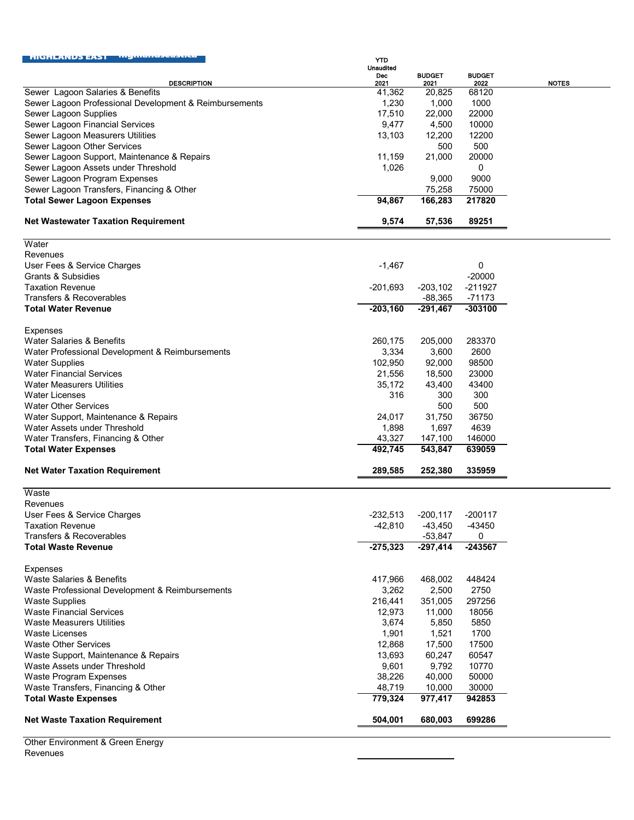| <u>HIGHLANDS EAST</u>                                  | YTD              |               |               |
|--------------------------------------------------------|------------------|---------------|---------------|
|                                                        | Unaudited<br>Dec | <b>BUDGET</b> | <b>BUDGET</b> |
| <b>DESCRIPTION</b>                                     | 2021             | 2021          | 2022          |
| Sewer Lagoon Salaries & Benefits                       | 41,362           | 20,825        | 68120         |
| Sewer Lagoon Professional Development & Reimbursements | 1,230            | 1,000         | 1000          |
| Sewer Lagoon Supplies                                  | 17,510           | 22,000        | 22000         |
| Sewer Lagoon Financial Services                        | 9,477            | 4,500         | 10000         |
| Sewer Lagoon Measurers Utilities                       | 13,103           | 12,200        | 12200         |
| Sewer Lagoon Other Services                            |                  | 500           | 500           |
|                                                        |                  |               |               |
| Sewer Lagoon Support, Maintenance & Repairs            | 11,159           | 21,000        | 20000         |
| Sewer Lagoon Assets under Threshold                    | 1,026            |               | 0             |
| Sewer Lagoon Program Expenses                          |                  | 9,000         | 9000          |
| Sewer Lagoon Transfers, Financing & Other              |                  | 75,258        | 75000         |
| <b>Total Sewer Lagoon Expenses</b>                     | 94,867           | 166,283       | 217820        |
| <b>Net Wastewater Taxation Requirement</b>             | 9,574            | 57,536        | 89251         |
| Water                                                  |                  |               |               |
| Revenues                                               |                  |               |               |
| User Fees & Service Charges                            | $-1,467$         |               | 0             |
| Grants & Subsidies                                     |                  |               | $-20000$      |
| <b>Taxation Revenue</b>                                | -201,693         | $-203,102$    | $-211927$     |
| Transfers & Recoverables                               |                  | $-88,365$     | $-71173$      |
|                                                        |                  |               |               |
| <b>Total Water Revenue</b>                             | $-203,160$       | $-291,467$    | $-303100$     |
| <b>Expenses</b>                                        |                  |               |               |
| Water Salaries & Benefits                              | 260,175          | 205,000       | 283370        |
| Water Professional Development & Reimbursements        | 3,334            | 3,600         | 2600          |
| <b>Water Supplies</b>                                  | 102,950          | 92,000        | 98500         |
| <b>Water Financial Services</b>                        | 21,556           | 18,500        | 23000         |
| <b>Water Measurers Utilities</b>                       | 35,172           | 43,400        | 43400         |
| <b>Water Licenses</b>                                  | 316              | 300           | 300           |
| <b>Water Other Services</b>                            |                  | 500           | 500           |
|                                                        |                  |               |               |
| Water Support, Maintenance & Repairs                   | 24,017           | 31,750        | 36750         |
| Water Assets under Threshold                           | 1,898            | 1,697         | 4639          |
| Water Transfers, Financing & Other                     | 43,327           | 147,100       | 146000        |
| <b>Total Water Expenses</b>                            | 492,745          | 543,847       | 639059        |
| <b>Net Water Taxation Requirement</b>                  | 289,585          | 252,380       | 335959        |
| Waste                                                  |                  |               |               |
| Revenues                                               |                  |               |               |
| User Fees & Service Charges                            | $-232,513$       | $-200.117$    | $-200117$     |
| <b>Taxation Revenue</b>                                | $-42,810$        | $-43,450$     | -43450        |
| Transfers & Recoverables                               |                  | $-53,847$     | 0             |
| <b>Total Waste Revenue</b>                             | $-275,323$       | $-297,414$    | -243567       |
| <b>Expenses</b>                                        |                  |               |               |
| <b>Waste Salaries &amp; Benefits</b>                   | 417,966          | 468,002       | 448424        |
| Waste Professional Development & Reimbursements        | 3,262            | 2,500         | 2750          |
| <b>Waste Supplies</b>                                  | 216,441          | 351,005       | 297256        |
|                                                        |                  |               |               |
| <b>Waste Financial Services</b>                        | 12,973           | 11,000        | 18056         |
| <b>Waste Measurers Utilities</b>                       | 3,674            | 5,850         | 5850          |
| Waste Licenses                                         | 1,901            | 1,521         | 1700          |
| <b>Waste Other Services</b>                            | 12,868           | 17,500        | 17500         |
| Waste Support, Maintenance & Repairs                   | 13,693           | 60,247        | 60547         |
| Waste Assets under Threshold                           | 9,601            | 9,792         | 10770         |
| Waste Program Expenses                                 | 38,226           | 40,000        | 50000         |
| Waste Transfers, Financing & Other                     | 48,719           | 10,000        | 30000         |
| <b>Total Waste Expenses</b>                            | 779,324          | 977,417       | 942853        |
|                                                        |                  |               |               |
| <b>Net Waste Taxation Requirement</b>                  | 504,001          | 680,003       | 699286        |
|                                                        |                  |               |               |

Other Environment & Green Energy Revenues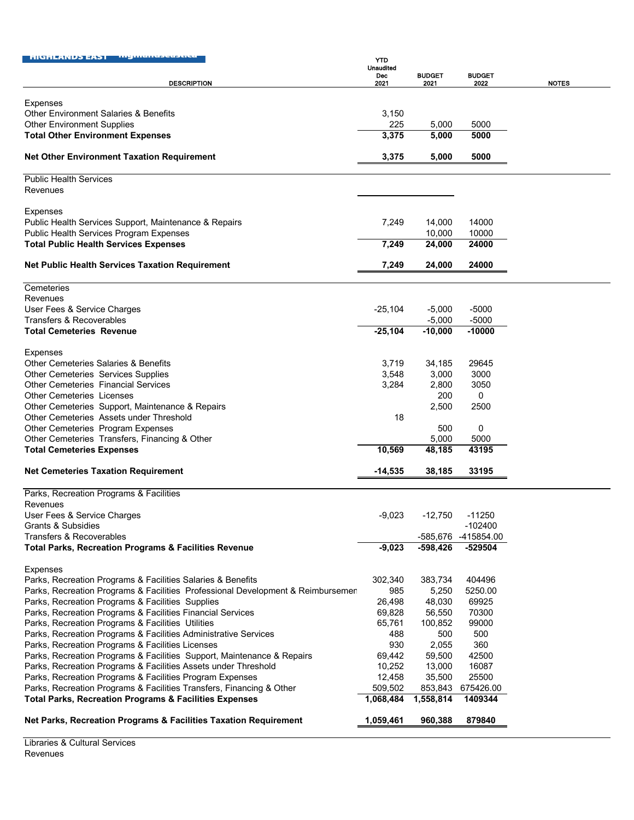| HUHLANDS EAST                                                                                                              | YTD                     |                  |                       |
|----------------------------------------------------------------------------------------------------------------------------|-------------------------|------------------|-----------------------|
|                                                                                                                            | <b>Unaudited</b><br>Dec | <b>BUDGET</b>    | <b>BUDGET</b>         |
| <b>DESCRIPTION</b>                                                                                                         | 2021                    | 2021             | 2022                  |
| <b>Expenses</b>                                                                                                            |                         |                  |                       |
| <b>Other Environment Salaries &amp; Benefits</b>                                                                           | 3,150                   |                  |                       |
| <b>Other Environment Supplies</b>                                                                                          | 225                     | 5,000            | 5000                  |
| <b>Total Other Environment Expenses</b>                                                                                    | 3,375                   | 5,000            | 5000                  |
|                                                                                                                            |                         |                  |                       |
| <b>Net Other Environment Taxation Requirement</b>                                                                          | 3,375                   | 5,000            | 5000                  |
| <b>Public Health Services</b>                                                                                              |                         |                  |                       |
| <b>Revenues</b>                                                                                                            |                         |                  |                       |
| <b>Expenses</b>                                                                                                            |                         |                  |                       |
| Public Health Services Support, Maintenance & Repairs                                                                      | 7,249                   | 14,000           | 14000                 |
| Public Health Services Program Expenses                                                                                    |                         | 10,000           | 10000                 |
| <b>Total Public Health Services Expenses</b>                                                                               | 7,249                   | 24,000           | 24000                 |
|                                                                                                                            |                         |                  | 24000                 |
| <b>Net Public Health Services Taxation Requirement</b>                                                                     | 7,249                   | 24,000           |                       |
| Cemeteries                                                                                                                 |                         |                  |                       |
| Revenues                                                                                                                   |                         |                  |                       |
| User Fees & Service Charges                                                                                                | $-25.104$               | $-5,000$         | $-5000$               |
| Transfers & Recoverables                                                                                                   |                         | $-5,000$         | $-5000$               |
| <b>Total Cemeteries Revenue</b>                                                                                            | $-25,104$               | $-10,000$        | $-10000$              |
| <b>Expenses</b>                                                                                                            |                         |                  |                       |
| Other Cemeteries Salaries & Benefits                                                                                       | 3,719                   | 34,185           | 29645                 |
| Other Cemeteries Services Supplies                                                                                         | 3,548                   | 3,000            | 3000                  |
| <b>Other Cemeteries Financial Services</b>                                                                                 | 3,284                   | 2,800            | 3050                  |
| <b>Other Cemeteries Licenses</b>                                                                                           |                         | 200              | 0                     |
| Other Cemeteries Support, Maintenance & Repairs                                                                            |                         | 2,500            | 2500                  |
| Other Cemeteries Assets under Threshold                                                                                    | 18                      |                  |                       |
| Other Cemeteries Program Expenses                                                                                          |                         | 500              | $\mathbf 0$<br>5000   |
| Other Cemeteries Transfers, Financing & Other<br><b>Total Cemeteries Expenses</b>                                          | 10,569                  | 5,000<br>48,185  | 43195                 |
|                                                                                                                            |                         |                  |                       |
| <b>Net Cemeteries Taxation Requirement</b>                                                                                 | $-14,535$               | 38,185           | 33195                 |
| Parks, Recreation Programs & Facilities                                                                                    |                         |                  |                       |
| Revenues                                                                                                                   |                         |                  |                       |
| User Fees & Service Charges<br>Grants & Subsidies                                                                          | $-9,023$                | $-12,750$        | $-11250$<br>$-102400$ |
| Transfers & Recoverables                                                                                                   |                         |                  | -585,676 -415854.00   |
| <b>Total Parks, Recreation Programs &amp; Facilities Revenue</b>                                                           | $-9,023$                | $-598,426$       | -529504               |
|                                                                                                                            |                         |                  |                       |
| <b>Expenses</b>                                                                                                            |                         |                  |                       |
| Parks, Recreation Programs & Facilities Salaries & Benefits                                                                | 302,340                 | 383,734          | 404496                |
| Parks, Recreation Programs & Facilities Professional Development & Reimbursemen                                            | 985                     | 5,250            | 5250.00               |
| Parks, Recreation Programs & Facilities Supplies                                                                           | 26,498                  | 48,030           | 69925                 |
| Parks, Recreation Programs & Facilities Financial Services                                                                 | 69,828                  | 56,550           | 70300                 |
| Parks, Recreation Programs & Facilities Utilities                                                                          | 65,761                  | 100,852          | 99000                 |
| Parks, Recreation Programs & Facilities Administrative Services                                                            | 488                     | 500              | 500                   |
| Parks, Recreation Programs & Facilities Licenses                                                                           | 930                     | 2,055            | 360<br>42500          |
| Parks, Recreation Programs & Facilities Support, Maintenance & Repairs                                                     | 69,442                  | 59,500           |                       |
| Parks, Recreation Programs & Facilities Assets under Threshold<br>Parks, Recreation Programs & Facilities Program Expenses | 10,252<br>12,458        | 13,000<br>35,500 | 16087<br>25500        |
| Parks, Recreation Programs & Facilities Transfers, Financing & Other                                                       | 509,502                 | 853,843          | 675426.00             |
| <b>Total Parks, Recreation Programs &amp; Facilities Expenses</b>                                                          | 1,068,484               | 1,558,814        | 1409344               |
|                                                                                                                            |                         |                  |                       |
| Net Parks, Recreation Programs & Facilities Taxation Requirement                                                           | 1,059,461               | 960,388          | 879840                |

Libraries & Cultural Services Revenues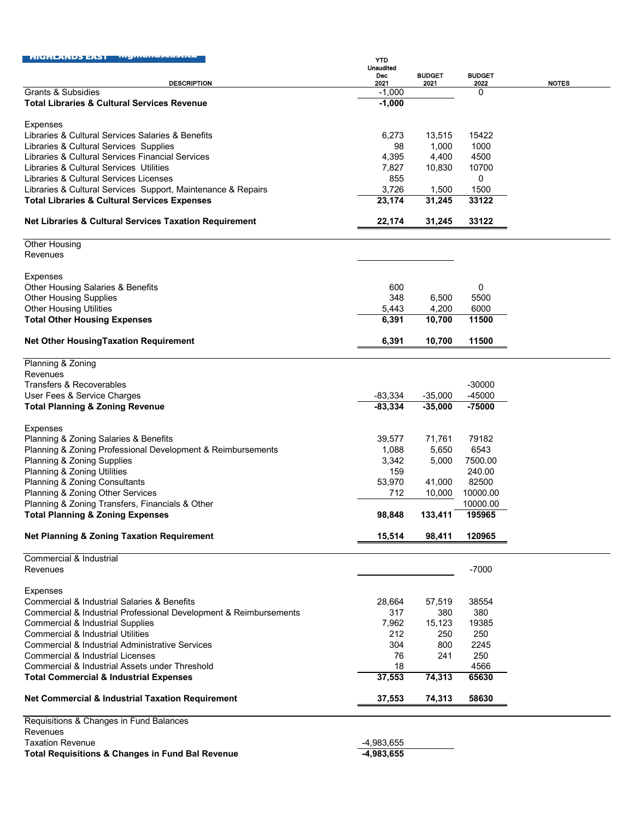| <u>MUNLANDS EAST</u>                                                                                       | <b>YTD</b>              |               |               |              |
|------------------------------------------------------------------------------------------------------------|-------------------------|---------------|---------------|--------------|
|                                                                                                            | <b>Unaudited</b><br>Dec | <b>BUDGET</b> | <b>BUDGET</b> |              |
| <b>DESCRIPTION</b>                                                                                         | 2021                    | 2021          | 2022          | <b>NOTES</b> |
| <b>Grants &amp; Subsidies</b>                                                                              | $-1,000$                |               | 0             |              |
| <b>Total Libraries &amp; Cultural Services Revenue</b>                                                     | $-1,000$                |               |               |              |
| <b>Expenses</b>                                                                                            |                         |               |               |              |
| Libraries & Cultural Services Salaries & Benefits                                                          | 6,273                   | 13,515        | 15422         |              |
| Libraries & Cultural Services Supplies                                                                     | 98                      | 1,000         | 1000          |              |
| Libraries & Cultural Services Financial Services                                                           | 4,395                   | 4,400         | 4500          |              |
| Libraries & Cultural Services Utilities                                                                    | 7,827                   | 10,830        | 10700         |              |
| Libraries & Cultural Services Licenses                                                                     | 855                     |               | 0             |              |
| Libraries & Cultural Services Support, Maintenance & Repairs                                               | 3,726                   | 1,500         | 1500          |              |
| <b>Total Libraries &amp; Cultural Services Expenses</b>                                                    | 23,174                  | 31,245        | 33122         |              |
|                                                                                                            |                         |               |               |              |
| <b>Net Libraries &amp; Cultural Services Taxation Requirement</b>                                          | 22,174                  | 31,245        | 33122         |              |
| <b>Other Housing</b>                                                                                       |                         |               |               |              |
| Revenues                                                                                                   |                         |               |               |              |
|                                                                                                            |                         |               |               |              |
| <b>Expenses</b>                                                                                            |                         |               |               |              |
| Other Housing Salaries & Benefits                                                                          | 600                     |               | 0             |              |
| <b>Other Housing Supplies</b>                                                                              | 348                     | 6,500         | 5500          |              |
| <b>Other Housing Utilities</b>                                                                             | 5,443                   | 4,200         | 6000          |              |
| <b>Total Other Housing Expenses</b>                                                                        | 6,391                   | 10,700        | 11500         |              |
| <b>Net Other Housing Taxation Requirement</b>                                                              | 6,391                   | 10,700        | 11500         |              |
|                                                                                                            |                         |               |               |              |
| Planning & Zoning                                                                                          |                         |               |               |              |
| Revenues                                                                                                   |                         |               |               |              |
| Transfers & Recoverables                                                                                   |                         |               | $-30000$      |              |
| User Fees & Service Charges                                                                                | $-83,334$               | $-35,000$     | $-45000$      |              |
| <b>Total Planning &amp; Zoning Revenue</b>                                                                 | $-83,334$               | $-35,000$     | $-75000$      |              |
| <b>Expenses</b>                                                                                            |                         |               |               |              |
| Planning & Zoning Salaries & Benefits                                                                      | 39,577                  | 71,761        | 79182         |              |
| Planning & Zoning Professional Development & Reimbursements                                                | 1,088                   | 5,650         | 6543          |              |
| Planning & Zoning Supplies                                                                                 | 3,342                   | 5,000         | 7500.00       |              |
| Planning & Zoning Utilities                                                                                | 159                     |               | 240.00        |              |
| Planning & Zoning Consultants                                                                              | 53,970                  | 41,000        | 82500         |              |
| Planning & Zoning Other Services                                                                           | 712                     | 10,000        | 10000.00      |              |
| Planning & Zoning Transfers, Financials & Other                                                            |                         |               | 10000.00      |              |
| <b>Total Planning &amp; Zoning Expenses</b>                                                                | 98,848                  | 133,411       | 195965        |              |
|                                                                                                            | 15,514                  | 98,411        | 120965        |              |
| <b>Net Planning &amp; Zoning Taxation Requirement</b>                                                      |                         |               |               |              |
| Commercial & Industrial                                                                                    |                         |               |               |              |
| Revenues                                                                                                   |                         |               | $-7000$       |              |
|                                                                                                            |                         |               |               |              |
| <b>Expenses</b>                                                                                            |                         |               |               |              |
| Commercial & Industrial Salaries & Benefits                                                                | 28,664                  | 57,519        | 38554         |              |
| Commercial & Industrial Professional Development & Reimbursements                                          | 317                     | 380           | 380           |              |
| Commercial & Industrial Supplies                                                                           | 7,962                   | 15,123        | 19385         |              |
| <b>Commercial &amp; Industrial Utilities</b><br><b>Commercial &amp; Industrial Administrative Services</b> | 212<br>304              | 250<br>800    | 250           |              |
| Commercial & Industrial Licenses                                                                           | 76                      | 241           | 2245<br>250   |              |
| Commercial & Industrial Assets under Threshold                                                             | 18                      |               | 4566          |              |
| <b>Total Commercial &amp; Industrial Expenses</b>                                                          | 37,553                  | 74,313        | 65630         |              |
|                                                                                                            |                         |               |               |              |
| <b>Net Commercial &amp; Industrial Taxation Requirement</b>                                                | 37,553                  | 74,313        | 58630         |              |
| Requisitions & Changes in Fund Balances                                                                    |                         |               |               |              |
| Revenues                                                                                                   |                         |               |               |              |
| <b>Taxation Revenue</b>                                                                                    | -4,983,655              |               |               |              |
| <b>Total Requisitions &amp; Changes in Fund Bal Revenue</b>                                                | $-4,983,655$            |               |               |              |